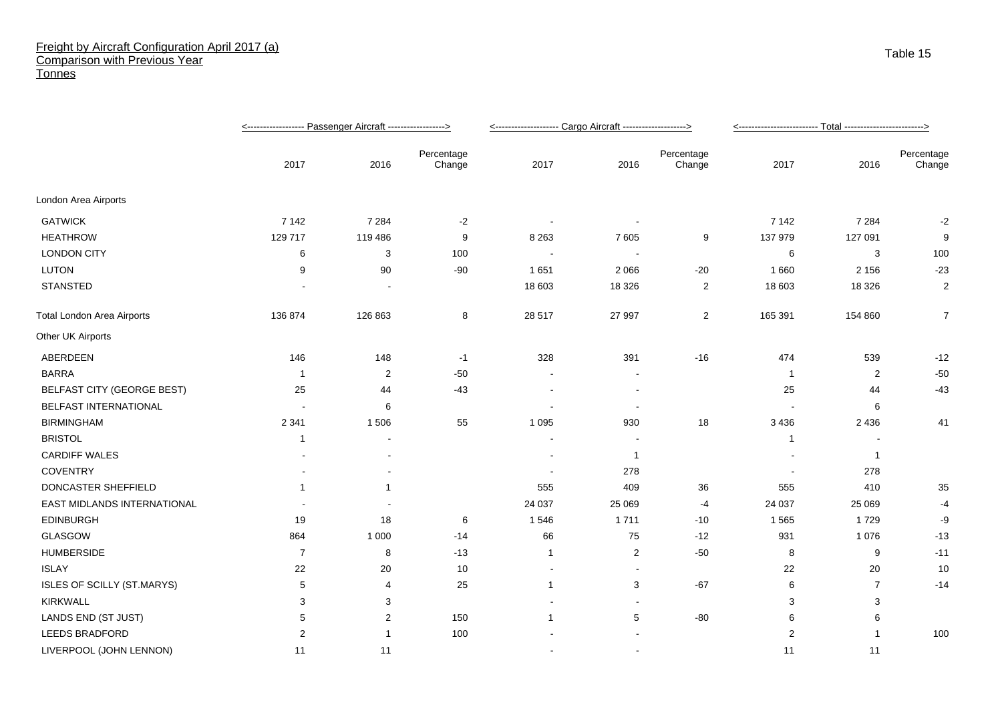## Freight by Aircraft Configuration April 2017 (a) Comparison with Previous Year **Tonnes**

|                                   |                |         |                      | <-------------------- Cargo Aircraft -------------------> |                          |                      |                |                |                      |
|-----------------------------------|----------------|---------|----------------------|-----------------------------------------------------------|--------------------------|----------------------|----------------|----------------|----------------------|
|                                   | 2017           | 2016    | Percentage<br>Change | 2017                                                      | 2016                     | Percentage<br>Change | 2017           | 2016           | Percentage<br>Change |
| London Area Airports              |                |         |                      |                                                           |                          |                      |                |                |                      |
| <b>GATWICK</b>                    | 7 1 4 2        | 7 2 8 4 | $-2$                 |                                                           |                          |                      | 7 1 4 2        | 7 2 8 4        | $-2$                 |
| <b>HEATHROW</b>                   | 129 717        | 119 486 | 9                    | 8 2 6 3                                                   | 7605                     | 9                    | 137 979        | 127 091        | 9                    |
| <b>LONDON CITY</b>                | 6              | 3       | 100                  |                                                           | $\sim$                   |                      | 6              | 3              | 100                  |
| <b>LUTON</b>                      | 9              | 90      | $-90$                | 1651                                                      | 2 0 6 6                  | $-20$                | 1 6 6 0        | 2 1 5 6        | $-23$                |
| <b>STANSTED</b>                   |                |         |                      | 18 603                                                    | 18 3 26                  | 2                    | 18 603         | 18 3 26        | 2                    |
| <b>Total London Area Airports</b> | 136 874        | 126 863 | 8                    | 28 517                                                    | 27 997                   | $\overline{c}$       | 165 391        | 154 860        | $\overline{7}$       |
| Other UK Airports                 |                |         |                      |                                                           |                          |                      |                |                |                      |
| ABERDEEN                          | 146            | 148     | $-1$                 | 328                                                       | 391                      | $-16$                | 474            | 539            | $-12$                |
| <b>BARRA</b>                      | -1             | 2       | $-50$                |                                                           |                          |                      | -1             | $\overline{2}$ | $-50$                |
| <b>BELFAST CITY (GEORGE BEST)</b> | 25             | 44      | $-43$                |                                                           |                          |                      | 25             | 44             | $-43$                |
| BELFAST INTERNATIONAL             |                | 6       |                      |                                                           | $\overline{\phantom{a}}$ |                      |                | 6              |                      |
| <b>BIRMINGHAM</b>                 | 2 3 4 1        | 1506    | 55                   | 1 0 9 5                                                   | 930                      | 18                   | 3 4 3 6        | 2 4 3 6        | 41                   |
| <b>BRISTOL</b>                    | -1             |         |                      |                                                           |                          |                      | $\overline{1}$ |                |                      |
| <b>CARDIFF WALES</b>              |                |         |                      | $\blacksquare$                                            | $\mathbf{1}$             |                      |                | $\overline{1}$ |                      |
| <b>COVENTRY</b>                   |                |         |                      |                                                           | 278                      |                      |                | 278            |                      |
| DONCASTER SHEFFIELD               | $\mathbf 1$    | -1      |                      | 555                                                       | 409                      | 36                   | 555            | 410            | 35                   |
| EAST MIDLANDS INTERNATIONAL       |                |         |                      | 24 037                                                    | 25 069                   | -4                   | 24 037         | 25 069         | -4                   |
| <b>EDINBURGH</b>                  | 19             | 18      | 6                    | 1546                                                      | 1711                     | $-10$                | 1565           | 1729           | -9                   |
| GLASGOW                           | 864            | 1 0 0 0 | $-14$                | 66                                                        | 75                       | $-12$                | 931            | 1 0 7 6        | $-13$                |
| <b>HUMBERSIDE</b>                 | $\overline{7}$ | 8       | $-13$                | 1                                                         | $\overline{2}$           | $-50$                | 8              | 9              | $-11$                |
| <b>ISLAY</b>                      | 22             | 20      | 10                   | $\overline{\phantom{a}}$                                  | $\blacksquare$           |                      | 22             | 20             | 10                   |
| ISLES OF SCILLY (ST.MARYS)        | 5              | 4       | 25                   | 1                                                         | 3                        | $-67$                | 6              | $\overline{7}$ | $-14$                |
| KIRKWALL                          | 3              | 3       |                      |                                                           |                          |                      | 3              | 3              |                      |
| LANDS END (ST JUST)               | 5              | 2       | 150                  | 1                                                         | 5                        | $-80$                | 6              | 6              |                      |
| <b>LEEDS BRADFORD</b>             | $\overline{2}$ | 1       | 100                  |                                                           |                          |                      | $\overline{2}$ |                | 100                  |
| LIVERPOOL (JOHN LENNON)           | 11             | 11      |                      |                                                           | $\sim$                   |                      | 11             | 11             |                      |